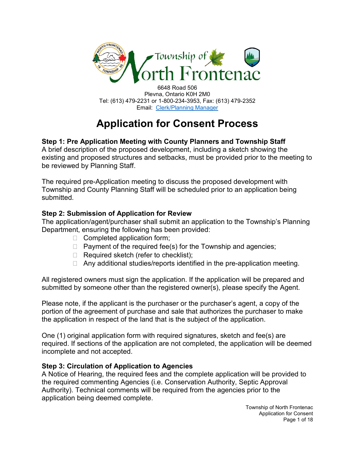

6648 Road 506 Plevna, Ontario K0H 2M0 Tel: (613) 479-2231 or 1-800-234-3953, Fax: (613) 479-2352 Email: Clerk/Planning Manager

# **Application for Consent Process**

## **Step 1: Pre Application Meeting with County Planners and Township Staff**

A brief description of the proposed development, including a sketch showing the existing and proposed structures and setbacks, must be provided prior to the meeting to be reviewed by Planning Staff.

The required pre-Application meeting to discuss the proposed development with Township and County Planning Staff will be scheduled prior to an application being submitted.

### **Step 2: Submission of Application for Review**

The application/agent/purchaser shall submit an application to the Township's Planning Department, ensuring the following has been provided:

- $\Box$  Completed application form;
- $\Box$  Payment of the required fee(s) for the Township and agencies;
- $\Box$  Required sketch (refer to checklist);
- $\Box$  Any additional studies/reports identified in the pre-application meeting.

All registered owners must sign the application. If the application will be prepared and submitted by someone other than the registered owner(s), please specify the Agent.

Please note, if the applicant is the purchaser or the purchaser's agent, a copy of the portion of the agreement of purchase and sale that authorizes the purchaser to make the application in respect of the land that is the subject of the application.

One (1) original application form with required signatures, sketch and fee(s) are required. If sections of the application are not completed, the application will be deemed incomplete and not accepted.

#### **Step 3: Circulation of Application to Agencies**

A Notice of Hearing, the required fees and the complete application will be provided to the required commenting Agencies (i.e. Conservation Authority, Septic Approval Authority). Technical comments will be required from the agencies prior to the application being deemed complete.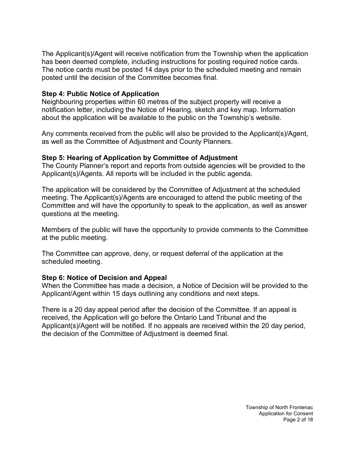The Applicant(s)/Agent will receive notification from the Township when the application has been deemed complete, including instructions for posting required notice cards. The notice cards must be posted 14 days prior to the scheduled meeting and remain posted until the decision of the Committee becomes final.

#### **Step 4: Public Notice of Application**

Neighbouring properties within 60 metres of the subject property will receive a notification letter, including the Notice of Hearing, sketch and key map. Information about the application will be available to the public on the Township's website.

Any comments received from the public will also be provided to the Applicant(s)/Agent, as well as the Committee of Adjustment and County Planners.

#### **Step 5: Hearing of Application by Committee of Adjustment**

The County Planner's report and reports from outside agencies will be provided to the Applicant(s)/Agents. All reports will be included in the public agenda.

The application will be considered by the Committee of Adjustment at the scheduled meeting. The Applicant(s)/Agents are encouraged to attend the public meeting of the Committee and will have the opportunity to speak to the application, as well as answer questions at the meeting.

Members of the public will have the opportunity to provide comments to the Committee at the public meeting.

The Committee can approve, deny, or request deferral of the application at the scheduled meeting.

#### **Step 6: Notice of Decision and Appeal**

When the Committee has made a decision, a Notice of Decision will be provided to the Applicant/Agent within 15 days outlining any conditions and next steps.

There is a 20 day appeal period after the decision of the Committee. If an appeal is received, the Application will go before the Ontario Land Tribunal and the Applicant(s)/Agent will be notified. If no appeals are received within the 20 day period, the decision of the Committee of Adjustment is deemed final.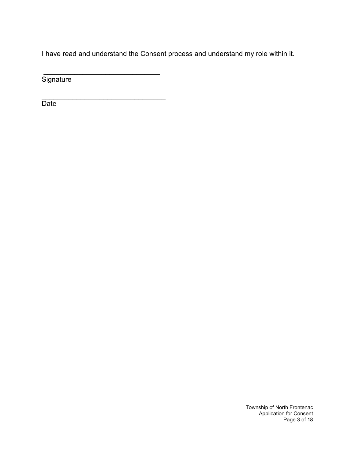I have read and understand the Consent process and understand my role within it.

**Signature** 

 $\frac{1}{2}$  ,  $\frac{1}{2}$  ,  $\frac{1}{2}$  ,  $\frac{1}{2}$  ,  $\frac{1}{2}$  ,  $\frac{1}{2}$  ,  $\frac{1}{2}$  ,  $\frac{1}{2}$  ,  $\frac{1}{2}$  ,  $\frac{1}{2}$  ,  $\frac{1}{2}$  ,  $\frac{1}{2}$  ,  $\frac{1}{2}$  ,  $\frac{1}{2}$  ,  $\frac{1}{2}$  ,  $\frac{1}{2}$  ,  $\frac{1}{2}$  ,  $\frac{1}{2}$  ,  $\frac{1$ 

\_\_\_\_\_\_\_\_\_\_\_\_\_\_\_\_\_\_\_\_\_\_\_\_\_\_\_\_\_\_\_\_ **Date** 

> Township of North Frontenac Application for Consent Page 3 of 18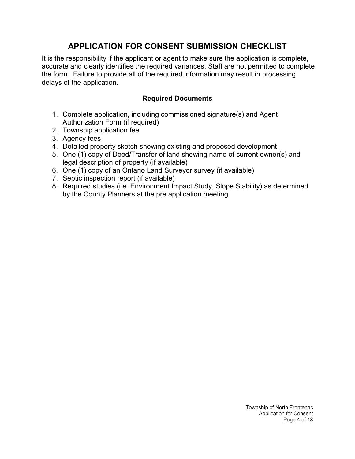# **APPLICATION FOR CONSENT SUBMISSION CHECKLIST**

It is the responsibility if the applicant or agent to make sure the application is complete, accurate and clearly identifies the required variances. Staff are not permitted to complete the form. Failure to provide all of the required information may result in processing delays of the application.

### **Required Documents**

- 1. Complete application, including commissioned signature(s) and Agent Authorization Form (if required)
- 2. Township application fee
- 3. Agency fees
- 4. Detailed property sketch showing existing and proposed development
- 5. One (1) copy of Deed/Transfer of land showing name of current owner(s) and legal description of property (if available)
- 6. One (1) copy of an Ontario Land Surveyor survey (if available)
- 7. Septic inspection report (if available)
- 8. Required studies (i.e. Environment Impact Study, Slope Stability) as determined by the County Planners at the pre application meeting.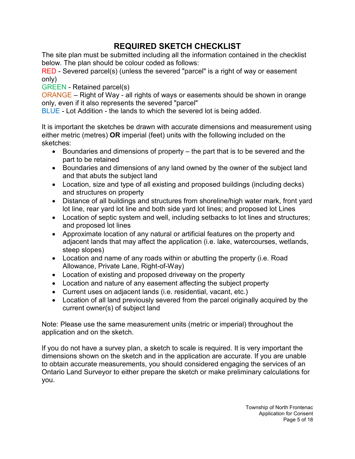# **REQUIRED SKETCH CHECKLIST**

The site plan must be submitted including all the information contained in the checklist below. The plan should be colour coded as follows:

RED - Severed parcel(s) (unless the severed "parcel" is a right of way or easement only)

GREEN - Retained parcel(s)

ORANGE – Right of Way - all rights of ways or easements should be shown in orange only, even if it also represents the severed "parcel"

BLUE - Lot Addition - the lands to which the severed lot is being added.

It is important the sketches be drawn with accurate dimensions and measurement using either metric (metres) **OR** imperial (feet) units with the following included on the sketches:

- Boundaries and dimensions of property the part that is to be severed and the part to be retained
- Boundaries and dimensions of any land owned by the owner of the subject land and that abuts the subject land
- Location, size and type of all existing and proposed buildings (including decks) and structures on property
- Distance of all buildings and structures from shoreline/high water mark, front yard lot line, rear yard lot line and both side yard lot lines; and proposed lot Lines
- Location of septic system and well, including setbacks to lot lines and structures; and proposed lot lines
- Approximate location of any natural or artificial features on the property and adjacent lands that may affect the application (i.e. lake, watercourses, wetlands, steep slopes)
- Location and name of any roads within or abutting the property (i.e. Road Allowance, Private Lane, Right-of-Way)
- Location of existing and proposed driveway on the property
- Location and nature of any easement affecting the subject property
- Current uses on adjacent lands (i.e. residential, vacant, etc.)
- Location of all land previously severed from the parcel originally acquired by the current owner(s) of subject land

Note: Please use the same measurement units (metric or imperial) throughout the application and on the sketch.

If you do not have a survey plan, a sketch to scale is required. It is very important the dimensions shown on the sketch and in the application are accurate. If you are unable to obtain accurate measurements, you should considered engaging the services of an Ontario Land Surveyor to either prepare the sketch or make preliminary calculations for you.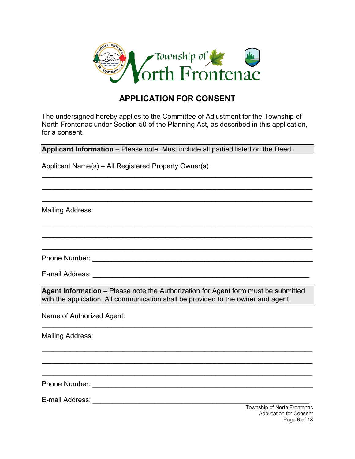

## **APPLICATION FOR CONSENT**

The undersigned hereby applies to the Committee of Adjustment for the Township of North Frontenac under Section 50 of the Planning Act, as described in this application, for a consent.

\_\_\_\_\_\_\_\_\_\_\_\_\_\_\_\_\_\_\_\_\_\_\_\_\_\_\_\_\_\_\_\_\_\_\_\_\_\_\_\_\_\_\_\_\_\_\_\_\_\_\_\_\_\_\_\_\_\_\_\_\_\_\_\_\_\_\_\_\_\_

\_\_\_\_\_\_\_\_\_\_\_\_\_\_\_\_\_\_\_\_\_\_\_\_\_\_\_\_\_\_\_\_\_\_\_\_\_\_\_\_\_\_\_\_\_\_\_\_\_\_\_\_\_\_\_\_\_\_\_\_\_\_\_\_\_\_\_\_\_\_

\_\_\_\_\_\_\_\_\_\_\_\_\_\_\_\_\_\_\_\_\_\_\_\_\_\_\_\_\_\_\_\_\_\_\_\_\_\_\_\_\_\_\_\_\_\_\_\_\_\_\_\_\_\_\_\_\_\_\_\_\_\_\_\_\_\_\_\_\_\_

\_\_\_\_\_\_\_\_\_\_\_\_\_\_\_\_\_\_\_\_\_\_\_\_\_\_\_\_\_\_\_\_\_\_\_\_\_\_\_\_\_\_\_\_\_\_\_\_\_\_\_\_\_\_\_\_\_\_\_\_\_\_\_\_\_\_\_\_\_\_

\_\_\_\_\_\_\_\_\_\_\_\_\_\_\_\_\_\_\_\_\_\_\_\_\_\_\_\_\_\_\_\_\_\_\_\_\_\_\_\_\_\_\_\_\_\_\_\_\_\_\_\_\_\_\_\_\_\_\_\_\_\_\_\_\_\_\_\_\_\_

\_\_\_\_\_\_\_\_\_\_\_\_\_\_\_\_\_\_\_\_\_\_\_\_\_\_\_\_\_\_\_\_\_\_\_\_\_\_\_\_\_\_\_\_\_\_\_\_\_\_\_\_\_\_\_\_\_\_\_\_\_\_\_\_\_\_\_\_\_\_

**Applicant Information** – Please note: Must include all partied listed on the Deed.

Applicant Name(s) – All Registered Property Owner(s)

Mailing Address:

Phone Number: \_\_\_\_\_\_\_\_\_\_\_\_\_\_\_\_\_\_\_\_\_\_\_\_\_\_\_\_\_\_\_\_\_\_\_\_\_\_\_\_\_\_\_\_\_\_\_\_\_\_\_\_\_\_\_\_\_

E-mail Address: **E-mail Address:**  $\overline{a}$ 

**Agent Information** – Please note the Authorization for Agent form must be submitted with the application. All communication shall be provided to the owner and agent.

\_\_\_\_\_\_\_\_\_\_\_\_\_\_\_\_\_\_\_\_\_\_\_\_\_\_\_\_\_\_\_\_\_\_\_\_\_\_\_\_\_\_\_\_\_\_\_\_\_\_\_\_\_\_\_\_\_\_\_\_\_\_\_\_\_\_\_\_\_\_

\_\_\_\_\_\_\_\_\_\_\_\_\_\_\_\_\_\_\_\_\_\_\_\_\_\_\_\_\_\_\_\_\_\_\_\_\_\_\_\_\_\_\_\_\_\_\_\_\_\_\_\_\_\_\_\_\_\_\_\_\_\_\_\_\_\_\_\_\_\_

\_\_\_\_\_\_\_\_\_\_\_\_\_\_\_\_\_\_\_\_\_\_\_\_\_\_\_\_\_\_\_\_\_\_\_\_\_\_\_\_\_\_\_\_\_\_\_\_\_\_\_\_\_\_\_\_\_\_\_\_\_\_\_\_\_\_\_\_\_\_

\_\_\_\_\_\_\_\_\_\_\_\_\_\_\_\_\_\_\_\_\_\_\_\_\_\_\_\_\_\_\_\_\_\_\_\_\_\_\_\_\_\_\_\_\_\_\_\_\_\_\_\_\_\_\_\_\_\_\_\_\_\_\_\_\_\_\_\_\_\_

Name of Authorized Agent:

Mailing Address:

Phone Number: \_\_\_\_\_\_\_\_\_\_\_\_\_\_\_\_\_\_\_\_\_\_\_\_\_\_\_\_\_\_\_\_\_\_\_\_\_\_\_\_\_\_\_\_\_\_\_\_\_\_\_\_\_\_\_\_\_

E-mail Address: **E-mail Address: E-mail Address:**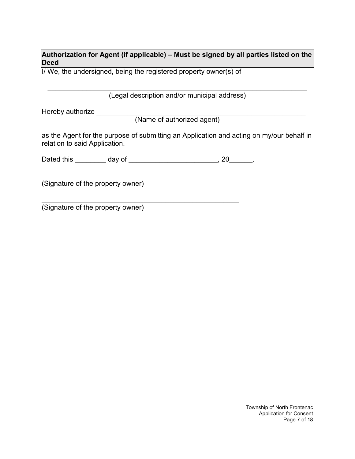**Authorization for Agent (if applicable) – Must be signed by all parties listed on the Deed**

I/ We, the undersigned, being the registered property owner(s) of

\_\_\_\_\_\_\_\_\_\_\_\_\_\_\_\_\_\_\_\_\_\_\_\_\_\_\_\_\_\_\_\_\_\_\_\_\_\_\_\_\_\_\_\_\_\_\_\_\_\_\_\_\_\_\_\_\_\_\_\_\_\_\_\_\_\_\_ (Legal description and/or municipal address)

Hereby authorize \_\_\_\_\_\_\_\_\_\_\_\_\_\_\_\_\_\_\_\_\_\_\_\_\_\_\_\_\_\_\_\_\_\_\_\_\_\_\_\_\_\_\_\_\_\_\_\_\_\_\_\_\_\_

(Name of authorized agent)

as the Agent for the purpose of submitting an Application and acting on my/our behalf in relation to said Application.

| Dated this | uav ∩* |  |  |
|------------|--------|--|--|
|            |        |  |  |

\_\_\_\_\_\_\_\_\_\_\_\_\_\_\_\_\_\_\_\_\_\_\_\_\_\_\_\_\_\_\_\_\_\_\_\_\_\_\_\_\_\_\_\_\_\_\_\_\_\_\_

\_\_\_\_\_\_\_\_\_\_\_\_\_\_\_\_\_\_\_\_\_\_\_\_\_\_\_\_\_\_\_\_\_\_\_\_\_\_\_\_\_\_\_\_\_\_\_\_\_\_\_

(Signature of the property owner)

(Signature of the property owner)

Township of North Frontenac Application for Consent Page 7 of 18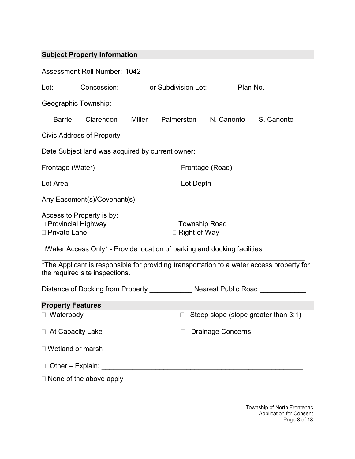# **Subject Property Information** Assessment Roll Number: 1042 **and Serverse Engineering Contract Contract Contract Contract Contract Contract Contract Contract Contract Contract Contract Contract Contract Contract Contract Contract Contract Contract Contr** Lot: Concession: concession: contract and the Subdivision Lot: Concession: contract and the Plan No. Geographic Township: Barrie Clarendon Miller Palmerston N. Canonto S. Canonto Civic Address of Property: \_\_\_\_\_\_\_\_\_\_\_\_\_\_\_\_\_\_\_\_\_\_\_\_\_\_\_\_\_\_\_\_\_\_\_\_\_\_\_\_\_\_\_\_\_\_\_\_ Date Subject land was acquired by current owner: Frontage (Water) \_\_\_\_\_\_\_\_\_\_\_\_\_\_\_\_\_ Frontage (Road) \_\_\_\_\_\_\_\_\_\_\_\_\_\_\_\_\_\_ Lot Area \_\_\_\_\_\_\_\_\_\_\_\_\_\_\_\_\_\_\_\_\_\_\_\_\_ Lot Depth\_\_\_\_\_\_\_\_\_\_\_\_\_\_\_\_\_\_\_\_\_\_\_\_\_\_\_\_\_\_\_\_\_ \_\_\_\_\_\_\_\_\_\_\_\_\_\_\_\_\_\_\_\_\_\_\_\_\_\_\_\_\_\_\_\_\_\_\_\_\_\_\_\_\_\_\_ Any Easement(s)/Covenant(s) Distance of Docking from Property \_\_\_\_\_\_\_\_\_\_\_\_ Nearest Public Road \_\_\_\_\_\_\_\_\_\_\_\_\_ \_\_\_\_\_\_\_\_\_\_\_\_\_\_\_\_\_\_\_\_\_\_\_\_\_\_\_\_\_\_\_\_\_\_\_\_\_\_\_\_\_\_\_\_\_\_\_\_\_\_\_\_ Other – Explain: Access to Property is by: □ Provincial Highway The Township Road □ Private Lane **Right-of-Way**  $\square$ Water Access Only\* - Provide location of parking and docking facilities: \_\_\_\_\_\_\_\_\_\_\_\_\_\_\_\_\_\_\_\_\_\_\_\_\_\_\_\_\_\_\_\_\_\_\_\_\_\_\_\_\_\_\_\_\_\_\_\_\_\_\_\_\_\_\_\_\_\_\_\_\_\_\_\_\_\_\_\_ \*The Applicant is responsible for providing transportation to a water access property for the required site inspections. **Property Features** □ Waterbody **Steep slope (slope greater than 3:1)** □ At Capacity Lake **Drainage Concerns**  Wetland or marsh  $\Box$  None of the above apply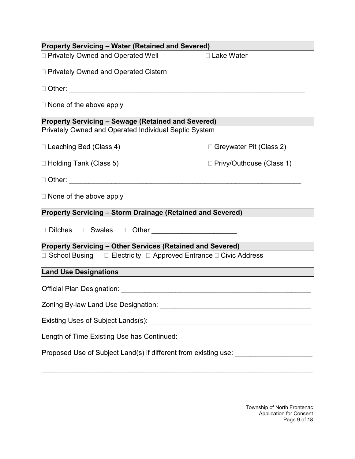| <b>Property Servicing - Water (Retained and Severed)</b>                          |                            |  |  |
|-----------------------------------------------------------------------------------|----------------------------|--|--|
| □ Privately Owned and Operated Well                                               | □ Lake Water               |  |  |
| □ Privately Owned and Operated Cistern                                            |                            |  |  |
|                                                                                   |                            |  |  |
| $\Box$ None of the above apply                                                    |                            |  |  |
| <b>Property Servicing - Sewage (Retained and Severed)</b>                         |                            |  |  |
| Privately Owned and Operated Individual Septic System                             |                            |  |  |
| □ Leaching Bed (Class 4)                                                          | □ Greywater Pit (Class 2)  |  |  |
| □ Holding Tank (Class 5)                                                          | □ Privy/Outhouse (Class 1) |  |  |
|                                                                                   |                            |  |  |
| $\Box$ None of the above apply                                                    |                            |  |  |
| <b>Property Servicing - Storm Drainage (Retained and Severed)</b>                 |                            |  |  |
| □ Ditches □ Swales □ Other ______________________                                 |                            |  |  |
| <b>Property Servicing - Other Services (Retained and Severed)</b>                 |                            |  |  |
| □ School Busing □ Electricity □ Approved Entrance □ Civic Address                 |                            |  |  |
| <b>Land Use Designations</b>                                                      |                            |  |  |
|                                                                                   |                            |  |  |
|                                                                                   |                            |  |  |
|                                                                                   |                            |  |  |
|                                                                                   |                            |  |  |
| Proposed Use of Subject Land(s) if different from existing use: _________________ |                            |  |  |

\_\_\_\_\_\_\_\_\_\_\_\_\_\_\_\_\_\_\_\_\_\_\_\_\_\_\_\_\_\_\_\_\_\_\_\_\_\_\_\_\_\_\_\_\_\_\_\_\_\_\_\_\_\_\_\_\_\_\_\_\_\_\_\_\_\_\_\_\_\_

Township of North Frontenac Application for Consent Page 9 of 18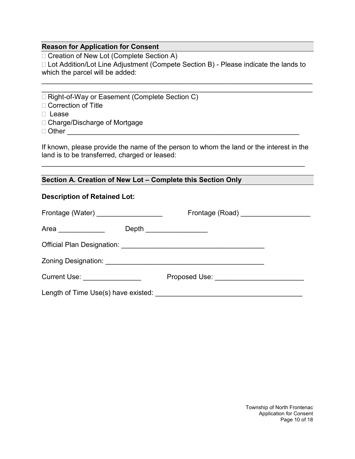#### **Reason for Application for Consent**

□ Creation of New Lot (Complete Section A)

□ Lot Addition/Lot Line Adjustment (Compete Section B) - Please indicate the lands to which the parcel will be added:

\_\_\_\_\_\_\_\_\_\_\_\_\_\_\_\_\_\_\_\_\_\_\_\_\_\_\_\_\_\_\_\_\_\_\_\_\_\_\_\_\_\_\_\_\_\_\_\_\_\_\_\_\_\_\_\_\_\_\_\_\_\_\_\_\_\_\_\_\_\_ \_\_\_\_\_\_\_\_\_\_\_\_\_\_\_\_\_\_\_\_\_\_\_\_\_\_\_\_\_\_\_\_\_\_\_\_\_\_\_\_\_\_\_\_\_\_\_\_\_\_\_\_\_\_\_\_\_\_\_\_\_\_\_\_\_\_\_\_\_\_

□ Right-of-Way or Easement (Complete Section C)

□ Correction of Title

□ Lease

□ Charge/Discharge of Mortgage

Other \_\_\_\_\_\_\_\_\_\_\_\_\_\_\_\_\_\_\_\_\_\_\_\_\_\_\_\_\_\_\_\_\_\_\_\_\_\_\_\_\_\_\_\_\_\_\_\_\_\_\_\_\_\_\_\_\_\_\_\_

If known, please provide the name of the person to whom the land or the interest in the land is to be transferred, charged or leased:

\_\_\_\_\_\_\_\_\_\_\_\_\_\_\_\_\_\_\_\_\_\_\_\_\_\_\_\_\_\_\_\_\_\_\_\_\_\_\_\_\_\_\_\_\_\_\_\_\_\_\_\_\_\_\_\_\_\_\_\_\_\_\_\_\_\_\_\_

**Section A. Creation of New Lot – Complete this Section Only**

#### **Description of Retained Lot:**

| Frontage (Water) ____________________       | Frontage (Road) ____________________     |
|---------------------------------------------|------------------------------------------|
| Area _____________                          | Depth __________________                 |
|                                             |                                          |
|                                             |                                          |
| Current Use: <u>_______________________</u> | Proposed Use: __________________________ |
|                                             |                                          |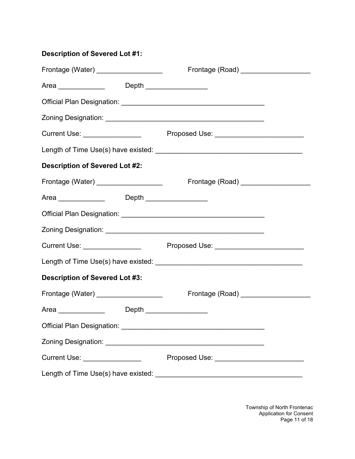## **Description of Severed Lot #1:**

| Frontage (Water) ___________________            | Frontage (Road) _____________________     |
|-------------------------------------------------|-------------------------------------------|
| Area _______________   Depth _________________  |                                           |
|                                                 |                                           |
|                                                 |                                           |
|                                                 |                                           |
|                                                 |                                           |
| <b>Description of Severed Lot #2:</b>           |                                           |
|                                                 |                                           |
| Area _______________  Depth _________________   |                                           |
|                                                 |                                           |
|                                                 |                                           |
|                                                 |                                           |
|                                                 |                                           |
| <b>Description of Severed Lot #3:</b>           |                                           |
| Frontage (Water) __________________             | Frontage (Road) _____________________     |
| Area ________________  Depth __________________ |                                           |
|                                                 |                                           |
|                                                 |                                           |
| Current Use: _________________                  | Proposed Use: ___________________________ |
|                                                 |                                           |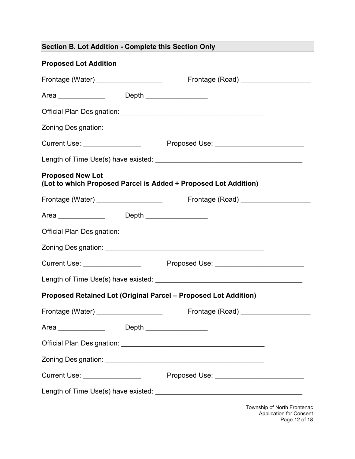| Section B. Lot Addition - Complete this Section Only |  |
|------------------------------------------------------|--|
|------------------------------------------------------|--|

## **Proposed Lot Addition**

| Frontage (Water) ___________________                     |       | Frontage (Road) _____________________                           |
|----------------------------------------------------------|-------|-----------------------------------------------------------------|
| Area _______________  Depth ________________             |       |                                                                 |
|                                                          |       |                                                                 |
|                                                          |       |                                                                 |
|                                                          |       |                                                                 |
|                                                          |       |                                                                 |
| <b>Proposed New Lot</b>                                  |       | (Lot to which Proposed Parcel is Added + Proposed Lot Addition) |
|                                                          |       |                                                                 |
| Area _______________  Depth _________________            |       |                                                                 |
|                                                          |       |                                                                 |
|                                                          |       |                                                                 |
|                                                          |       |                                                                 |
|                                                          |       |                                                                 |
|                                                          |       | Proposed Retained Lot (Original Parcel - Proposed Lot Addition) |
| Frontage (Water) ____________________                    |       | Frontage (Road) ___________________                             |
| Area<br>the control of the control of the control of the | Depth |                                                                 |
|                                                          |       |                                                                 |
|                                                          |       |                                                                 |
| Current Use: ________________                            |       | Proposed Use: ____________________________                      |
|                                                          |       |                                                                 |
|                                                          |       | Township of North Frontenac                                     |

Application for Consent Page 12 of 18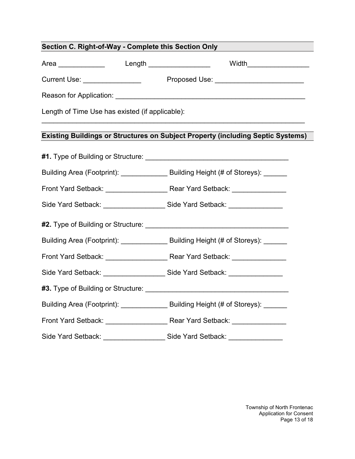| Section C. Right-of-Way - Complete this Section Only |                                                                                        |  |  |
|------------------------------------------------------|----------------------------------------------------------------------------------------|--|--|
|                                                      | Area _______________  Length _________________  Width________________                  |  |  |
|                                                      | Current Use: ____________________    Proposed Use: _____________________________       |  |  |
|                                                      |                                                                                        |  |  |
| Length of Time Use has existed (if applicable):      |                                                                                        |  |  |
|                                                      | <b>Existing Buildings or Structures on Subject Property (including Septic Systems)</b> |  |  |
|                                                      |                                                                                        |  |  |
|                                                      | Building Area (Footprint): _______________ Building Height (# of Storeys): ______      |  |  |
|                                                      |                                                                                        |  |  |
|                                                      | Side Yard Setback: ______________________ Side Yard Setback: ___________________       |  |  |
|                                                      |                                                                                        |  |  |
|                                                      | Building Area (Footprint): _______________ Building Height (# of Storeys): ______      |  |  |
|                                                      |                                                                                        |  |  |
|                                                      | Side Yard Setback: ______________________Side Yard Setback: ____________________       |  |  |
|                                                      |                                                                                        |  |  |
|                                                      | Building Area (Footprint): _______________ Building Height (# of Storeys): ______      |  |  |
|                                                      |                                                                                        |  |  |
|                                                      | Side Yard Setback: ____________________Side Yard Setback: ________________             |  |  |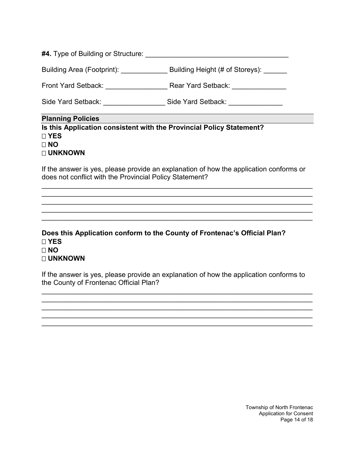| <b>#4.</b> Type of Building or Structure: |                                 |
|-------------------------------------------|---------------------------------|
| <b>Building Area (Footprint):</b>         | Building Height (# of Storeys): |

Front Yard Setback: \_\_\_\_\_\_\_\_\_\_\_\_\_\_\_\_ Rear Yard Setback: \_\_\_\_\_\_\_\_\_\_\_\_\_\_

Side Yard Setback: \_\_\_\_\_\_\_\_\_\_\_\_\_\_\_\_ Side Yard Setback: \_\_\_\_\_\_\_\_\_\_\_\_\_\_

#### **Planning Policies**

**Is this Application consistent with the Provincial Policy Statement? YES NO UNKNOWN**

If the answer is yes, please provide an explanation of how the application conforms or does not conflict with the Provincial Policy Statement?

\_\_\_\_\_\_\_\_\_\_\_\_\_\_\_\_\_\_\_\_\_\_\_\_\_\_\_\_\_\_\_\_\_\_\_\_\_\_\_\_\_\_\_\_\_\_\_\_\_\_\_\_\_\_\_\_\_\_\_\_\_\_\_\_\_\_\_\_\_\_ \_\_\_\_\_\_\_\_\_\_\_\_\_\_\_\_\_\_\_\_\_\_\_\_\_\_\_\_\_\_\_\_\_\_\_\_\_\_\_\_\_\_\_\_\_\_\_\_\_\_\_\_\_\_\_\_\_\_\_\_\_\_\_\_\_\_\_\_\_\_ \_\_\_\_\_\_\_\_\_\_\_\_\_\_\_\_\_\_\_\_\_\_\_\_\_\_\_\_\_\_\_\_\_\_\_\_\_\_\_\_\_\_\_\_\_\_\_\_\_\_\_\_\_\_\_\_\_\_\_\_\_\_\_\_\_\_\_\_\_\_ \_\_\_\_\_\_\_\_\_\_\_\_\_\_\_\_\_\_\_\_\_\_\_\_\_\_\_\_\_\_\_\_\_\_\_\_\_\_\_\_\_\_\_\_\_\_\_\_\_\_\_\_\_\_\_\_\_\_\_\_\_\_\_\_\_\_\_\_\_\_ \_\_\_\_\_\_\_\_\_\_\_\_\_\_\_\_\_\_\_\_\_\_\_\_\_\_\_\_\_\_\_\_\_\_\_\_\_\_\_\_\_\_\_\_\_\_\_\_\_\_\_\_\_\_\_\_\_\_\_\_\_\_\_\_\_\_\_\_\_\_

**Does this Application conform to the County of Frontenac's Official Plan? YES NO UNKNOWN**

If the answer is yes, please provide an explanation of how the application conforms to the County of Frontenac Official Plan?

\_\_\_\_\_\_\_\_\_\_\_\_\_\_\_\_\_\_\_\_\_\_\_\_\_\_\_\_\_\_\_\_\_\_\_\_\_\_\_\_\_\_\_\_\_\_\_\_\_\_\_\_\_\_\_\_\_\_\_\_\_\_\_\_\_\_\_\_\_\_ \_\_\_\_\_\_\_\_\_\_\_\_\_\_\_\_\_\_\_\_\_\_\_\_\_\_\_\_\_\_\_\_\_\_\_\_\_\_\_\_\_\_\_\_\_\_\_\_\_\_\_\_\_\_\_\_\_\_\_\_\_\_\_\_\_\_\_\_\_\_ \_\_\_\_\_\_\_\_\_\_\_\_\_\_\_\_\_\_\_\_\_\_\_\_\_\_\_\_\_\_\_\_\_\_\_\_\_\_\_\_\_\_\_\_\_\_\_\_\_\_\_\_\_\_\_\_\_\_\_\_\_\_\_\_\_\_\_\_\_\_ \_\_\_\_\_\_\_\_\_\_\_\_\_\_\_\_\_\_\_\_\_\_\_\_\_\_\_\_\_\_\_\_\_\_\_\_\_\_\_\_\_\_\_\_\_\_\_\_\_\_\_\_\_\_\_\_\_\_\_\_\_\_\_\_\_\_\_\_\_\_ \_\_\_\_\_\_\_\_\_\_\_\_\_\_\_\_\_\_\_\_\_\_\_\_\_\_\_\_\_\_\_\_\_\_\_\_\_\_\_\_\_\_\_\_\_\_\_\_\_\_\_\_\_\_\_\_\_\_\_\_\_\_\_\_\_\_\_\_\_\_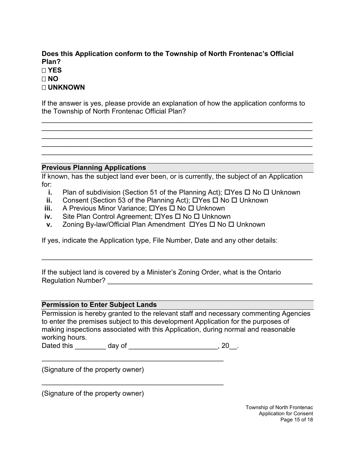#### **Does this Application conform to the Township of North Frontenac's Official Plan? YES NO UNKNOWN**

If the answer is yes, please provide an explanation of how the application conforms to the Township of North Frontenac Official Plan?

\_\_\_\_\_\_\_\_\_\_\_\_\_\_\_\_\_\_\_\_\_\_\_\_\_\_\_\_\_\_\_\_\_\_\_\_\_\_\_\_\_\_\_\_\_\_\_\_\_\_\_\_\_\_\_\_\_\_\_\_\_\_\_\_\_\_\_\_\_\_ \_\_\_\_\_\_\_\_\_\_\_\_\_\_\_\_\_\_\_\_\_\_\_\_\_\_\_\_\_\_\_\_\_\_\_\_\_\_\_\_\_\_\_\_\_\_\_\_\_\_\_\_\_\_\_\_\_\_\_\_\_\_\_\_\_\_\_\_\_\_ \_\_\_\_\_\_\_\_\_\_\_\_\_\_\_\_\_\_\_\_\_\_\_\_\_\_\_\_\_\_\_\_\_\_\_\_\_\_\_\_\_\_\_\_\_\_\_\_\_\_\_\_\_\_\_\_\_\_\_\_\_\_\_\_\_\_\_\_\_\_ \_\_\_\_\_\_\_\_\_\_\_\_\_\_\_\_\_\_\_\_\_\_\_\_\_\_\_\_\_\_\_\_\_\_\_\_\_\_\_\_\_\_\_\_\_\_\_\_\_\_\_\_\_\_\_\_\_\_\_\_\_\_\_\_\_\_\_\_\_\_ \_\_\_\_\_\_\_\_\_\_\_\_\_\_\_\_\_\_\_\_\_\_\_\_\_\_\_\_\_\_\_\_\_\_\_\_\_\_\_\_\_\_\_\_\_\_\_\_\_\_\_\_\_\_\_\_\_\_\_\_\_\_\_\_\_\_\_\_\_\_

#### **Previous Planning Applications**

If known, has the subject land ever been, or is currently, the subject of an Application for:

- **i.** Plan of subdivision (Section 51 of the Planning Act);  $\Box$  Yes  $\Box$  No  $\Box$  Unknown
- **ii.** Consent (Section 53 of the Planning Act);  $\Box$  Yes  $\Box$  No  $\Box$  Unknown
- **iii.** A Previous Minor Variance; □Yes □ No □ Unknown
- **iv.** Site Plan Control Agreement; DYes D No D Unknown
- **v.** Zoning By-law/Official Plan Amendment  $\Box$  Yes  $\Box$  No  $\Box$  Unknown

If yes, indicate the Application type, File Number, Date and any other details:

If the subject land is covered by a Minister's Zoning Order, what is the Ontario Regulation Number? \_\_\_\_\_\_\_\_\_\_\_\_\_\_\_\_\_\_\_\_\_\_\_\_\_\_\_\_\_\_\_\_\_\_\_\_\_\_\_\_\_\_\_\_\_\_\_\_\_\_\_\_\_

#### **Permission to Enter Subject Lands**

Permission is hereby granted to the relevant staff and necessary commenting Agencies to enter the premises subject to this development Application for the purposes of making inspections associated with this Application, during normal and reasonable working hours.

\_\_\_\_\_\_\_\_\_\_\_\_\_\_\_\_\_\_\_\_\_\_\_\_\_\_\_\_\_\_\_\_\_\_\_\_\_\_\_\_\_\_\_\_\_\_\_\_\_\_\_\_\_\_\_\_\_\_\_\_\_\_\_\_\_\_\_\_\_\_

Dated this \_\_\_\_\_\_\_\_\_ day of \_\_\_\_\_\_\_\_\_\_\_\_\_\_\_\_\_\_\_\_\_\_\_\_\_\_\_\_\_\_, 20\_\_.

\_\_\_\_\_\_\_\_\_\_\_\_\_\_\_\_\_\_\_\_\_\_\_\_\_\_\_\_\_\_\_\_\_\_\_\_\_\_\_\_\_\_\_\_\_\_\_

\_\_\_\_\_\_\_\_\_\_\_\_\_\_\_\_\_\_\_\_\_\_\_\_\_\_\_\_\_\_\_\_\_\_\_\_\_\_\_\_\_\_\_\_\_\_\_

(Signature of the property owner)

(Signature of the property owner)

Township of North Frontenac Application for Consent Page 15 of 18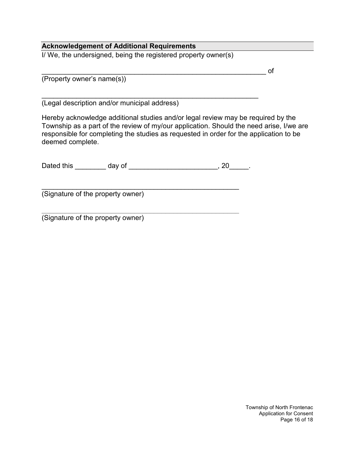#### **Acknowledgement of Additional Requirements**

I/ We, the undersigned, being the registered property owner(s)

\_\_\_\_\_\_\_\_\_\_\_\_\_\_\_\_\_\_\_\_\_\_\_\_\_\_\_\_\_\_\_\_\_\_\_\_\_\_\_\_\_\_\_\_\_\_\_\_\_\_\_\_\_\_\_\_\_\_ of

(Property owner's name(s))

\_\_\_\_\_\_\_\_\_\_\_\_\_\_\_\_\_\_\_\_\_\_\_\_\_\_\_\_\_\_\_\_\_\_\_\_\_\_\_\_\_\_\_\_\_\_\_\_\_\_\_\_\_\_\_\_ (Legal description and/or municipal address)

Hereby acknowledge additional studies and/or legal review may be required by the Township as a part of the review of my/our application. Should the need arise, I/we are responsible for completing the studies as requested in order for the application to be deemed complete.

| Dated this | IV OI<br>uav |  |  |
|------------|--------------|--|--|
|            |              |  |  |

\_\_\_\_\_\_\_\_\_\_\_\_\_\_\_\_\_\_\_\_\_\_\_\_\_\_\_\_\_\_\_\_\_\_\_\_\_\_\_\_\_\_\_\_\_\_\_\_\_\_\_ (Signature of the property owner)

\_\_\_\_\_\_\_\_\_\_\_\_\_\_\_\_\_\_\_\_\_\_\_\_\_\_\_\_\_\_\_\_\_\_\_\_\_\_\_\_\_\_\_\_\_\_\_\_\_\_\_ (Signature of the property owner)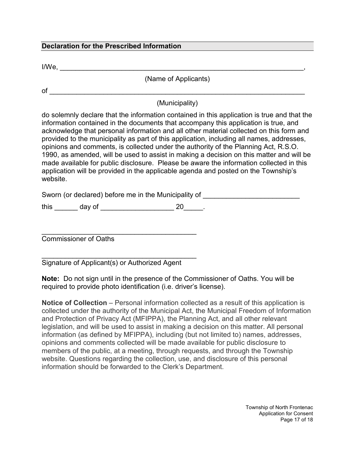#### **Declaration for the Prescribed Information**

 $I/We, \_\_$ 

(Name of Applicants)

 $of$   $\_\_$ 

(Municipality)

do solemnly declare that the information contained in this application is true and that the information contained in the documents that accompany this application is true, and acknowledge that personal information and all other material collected on this form and provided to the municipality as part of this application, including all names, addresses, opinions and comments, is collected under the authority of the Planning Act, R.S.O. 1990, as amended, will be used to assist in making a decision on this matter and will be made available for public disclosure. Please be aware the information collected in this application will be provided in the applicable agenda and posted on the Township's website.

Sworn (or declared) before me in the Municipality of \_\_\_\_\_\_\_\_\_\_\_\_\_\_\_\_\_\_\_\_\_\_\_\_\_\_\_

this \_\_\_\_\_\_\_ day of \_\_\_\_\_\_\_\_\_\_\_\_\_\_\_\_\_\_\_\_\_\_\_\_\_\_\_ 20\_\_\_\_\_\_.

\_\_\_\_\_\_\_\_\_\_\_\_\_\_\_\_\_\_\_\_\_\_\_\_\_\_\_\_\_\_\_\_\_\_\_\_\_\_\_\_ Commissioner of Oaths

\_\_\_\_\_\_\_\_\_\_\_\_\_\_\_\_\_\_\_\_\_\_\_\_\_\_\_\_\_\_\_\_\_\_\_\_\_\_\_\_ Signature of Applicant(s) or Authorized Agent

**Note:** Do not sign until in the presence of the Commissioner of Oaths. You will be required to provide photo identification (i.e. driver's license).

**Notice of Collection** – Personal information collected as a result of this application is collected under the authority of the Municipal Act, the Municipal Freedom of Information and Protection of Privacy Act (MFIPPA), the Planning Act, and all other relevant legislation, and will be used to assist in making a decision on this matter. All personal information (as defined by MFIPPA), including (but not limited to) names, addresses, opinions and comments collected will be made available for public disclosure to members of the public, at a meeting, through requests, and through the Township website. Questions regarding the collection, use, and disclosure of this personal information should be forwarded to the Clerk's Department.

> Township of North Frontenac Application for Consent Page 17 of 18